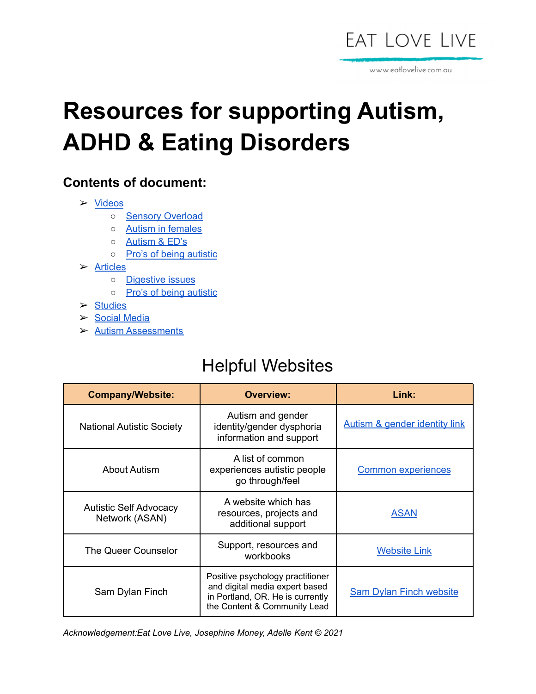

www.eatlovelive.com.au

# **Resources for supporting Autism, ADHD & Eating Disorders**

#### **Contents of document:**

- ➢ [Videos](#page-1-0)
	- o Sensory [Overload](#page-2-0)
	- Autism in [females](#page-2-0)
	- [Autism](#page-2-1) & ED's
	- o Pro's of being [autistic](#page-2-1)
- ➢ [Articles](#page-2-2)
	- Digestive issues
	- o Pro's of being [autistic](#page-3-0)
- ➢ [Studies](#page-4-0)
- ➢ Social Media
- ➢ Autism [Assessments](#page-7-0)

### Helpful Websites

| <b>Company/Website:</b>                         | <b>Overview:</b>                                                                                                                       | Link:                          |
|-------------------------------------------------|----------------------------------------------------------------------------------------------------------------------------------------|--------------------------------|
| <b>National Autistic Society</b>                | Autism and gender<br>identity/gender dysphoria<br>information and support                                                              | Autism & gender identity link  |
| <b>About Autism</b>                             | A list of common<br>experiences autistic people<br>go through/feel                                                                     | <b>Common experiences</b>      |
| <b>Autistic Self Advocacy</b><br>Network (ASAN) | A website which has<br>resources, projects and<br>additional support                                                                   | <b>ASAN</b>                    |
| The Queer Counselor                             | Support, resources and<br>workbooks                                                                                                    | <b>Website Link</b>            |
| Sam Dylan Finch                                 | Positive psychology practitioner<br>and digital media expert based<br>in Portland, OR. He is currently<br>the Content & Community Lead | <b>Sam Dylan Finch website</b> |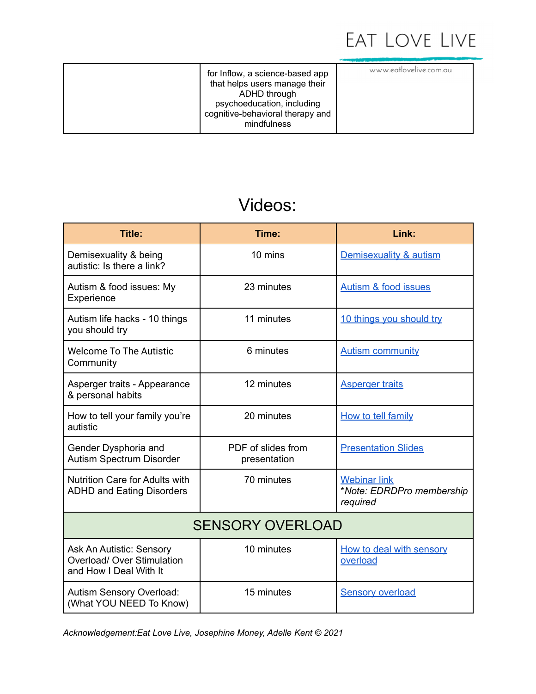

www.eatlovelive.com.au

for [Inflow](http://getinflow.io/), a science-based app that helps users manage their ADHD through psychoeducation, including cognitive-behavioral therapy and mindfulness

#### Videos:

<span id="page-1-0"></span>

| <b>Title:</b>                                                                    | Time:                              | Link:                                                        |
|----------------------------------------------------------------------------------|------------------------------------|--------------------------------------------------------------|
| Demisexuality & being<br>autistic: Is there a link?                              | 10 mins                            | Demisexuality & autism                                       |
| Autism & food issues: My<br>Experience                                           | 23 minutes                         | <b>Autism &amp; food issues</b>                              |
| Autism life hacks - 10 things<br>you should try                                  | 11 minutes                         | 10 things you should try                                     |
| <b>Welcome To The Autistic</b><br>Community                                      | 6 minutes                          | <b>Autism community</b>                                      |
| Asperger traits - Appearance<br>& personal habits                                | 12 minutes                         | <b>Asperger traits</b>                                       |
| How to tell your family you're<br>autistic                                       | 20 minutes                         | How to tell family                                           |
| Gender Dysphoria and<br>Autism Spectrum Disorder                                 | PDF of slides from<br>presentation | <b>Presentation Slides</b>                                   |
| <b>Nutrition Care for Adults with</b><br><b>ADHD and Eating Disorders</b>        | 70 minutes                         | <b>Webinar link</b><br>*Note: EDRDPro membership<br>required |
| <b>SENSORY OVERLOAD</b>                                                          |                                    |                                                              |
| Ask An Autistic: Sensory<br>Overload/ Over Stimulation<br>and How I Deal With It | 10 minutes                         | How to deal with sensory<br>overload                         |
| Autism Sensory Overload:<br>(What YOU NEED To Know)                              | 15 minutes                         | <b>Sensory overload</b>                                      |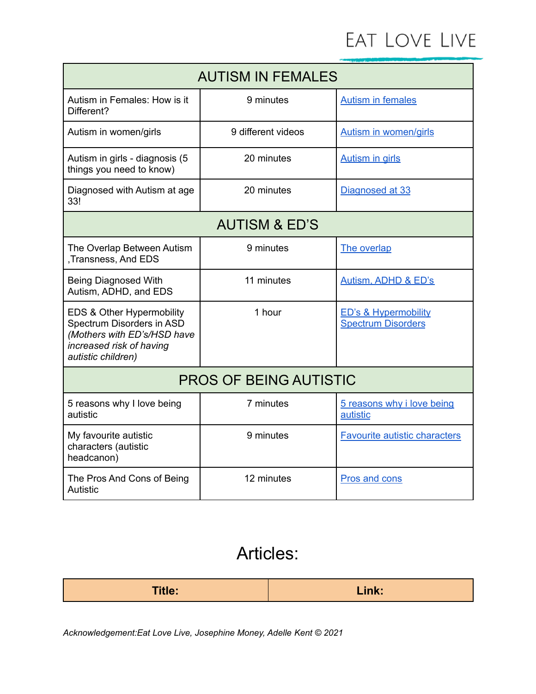<span id="page-2-0"></span>

| <b>AUTISM IN FEMALES</b>                                                                                                                |                    |                                                              |
|-----------------------------------------------------------------------------------------------------------------------------------------|--------------------|--------------------------------------------------------------|
| Autism in Females: How is it<br>Different?                                                                                              | 9 minutes          | <b>Autism in females</b>                                     |
| Autism in women/girls                                                                                                                   | 9 different videos | <b>Autism in women/girls</b>                                 |
| Autism in girls - diagnosis (5<br>things you need to know)                                                                              | 20 minutes         | <b>Autism in girls</b>                                       |
| Diagnosed with Autism at age<br>33!                                                                                                     | 20 minutes         | Diagnosed at 33                                              |
| <b>AUTISM &amp; ED'S</b>                                                                                                                |                    |                                                              |
| The Overlap Between Autism<br>, Transness, And EDS                                                                                      | 9 minutes          | The overlap                                                  |
| <b>Being Diagnosed With</b><br>Autism, ADHD, and EDS                                                                                    | 11 minutes         | Autism, ADHD & ED's                                          |
| EDS & Other Hypermobility<br>Spectrum Disorders in ASD<br>(Mothers with ED's/HSD have<br>increased risk of having<br>autistic children) | 1 hour             | <b>ED's &amp; Hypermobility</b><br><b>Spectrum Disorders</b> |
| <b>PROS OF BEING AUTISTIC</b>                                                                                                           |                    |                                                              |
| 5 reasons why I love being<br>autistic                                                                                                  | 7 minutes          | 5 reasons why i love being<br>autistic                       |
| My favourite autistic<br>characters (autistic<br>headcanon)                                                                             | 9 minutes          | <b>Favourite autistic characters</b>                         |
| The Pros And Cons of Being<br>Autistic                                                                                                  | 12 minutes         | Pros and cons                                                |

### Articles:

<span id="page-2-2"></span><span id="page-2-1"></span>

| <b>Title:</b> | Link: |
|---------------|-------|
|---------------|-------|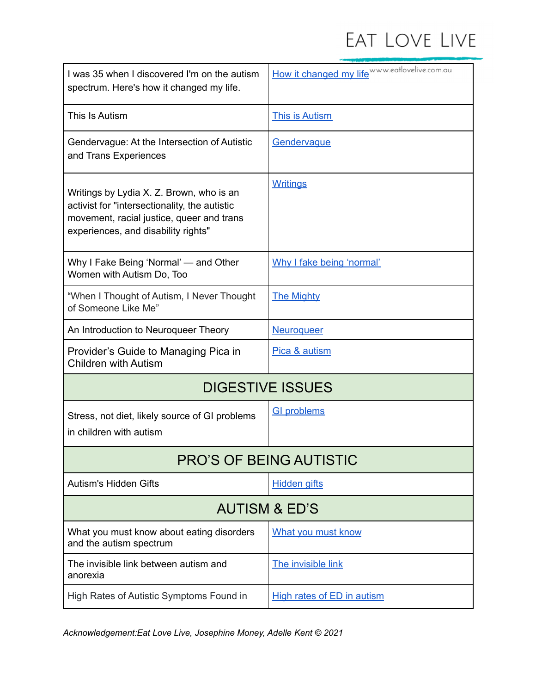<span id="page-3-0"></span>

| I was 35 when I discovered I'm on the autism<br>spectrum. Here's how it changed my life.                                                                                      | How it changed my life WWW.eatlovelive.com.au |  |
|-------------------------------------------------------------------------------------------------------------------------------------------------------------------------------|-----------------------------------------------|--|
| This Is Autism                                                                                                                                                                | This is Autism                                |  |
| Gendervague: At the Intersection of Autistic<br>and Trans Experiences                                                                                                         | Gendervague                                   |  |
| Writings by Lydia X. Z. Brown, who is an<br>activist for "intersectionality, the autistic<br>movement, racial justice, queer and trans<br>experiences, and disability rights" | <b>Writings</b>                               |  |
| Why I Fake Being 'Normal' - and Other<br>Women with Autism Do, Too                                                                                                            | Why I fake being 'normal'                     |  |
| "When I Thought of Autism, I Never Thought<br>of Someone Like Me"                                                                                                             | <b>The Mighty</b>                             |  |
| An Introduction to Neuroqueer Theory                                                                                                                                          | <b>Neuroqueer</b>                             |  |
| Provider's Guide to Managing Pica in<br><b>Children with Autism</b>                                                                                                           | Pica & autism                                 |  |
| <b>DIGESTIVE ISSUES</b>                                                                                                                                                       |                                               |  |
| Stress, not diet, likely source of GI problems<br>in children with autism                                                                                                     | <b>GI problems</b>                            |  |
| PRO'S OF BEING AUTISTIC                                                                                                                                                       |                                               |  |
| <b>Autism's Hidden Gifts</b>                                                                                                                                                  | <b>Hidden gifts</b>                           |  |
| <b>AUTISM &amp; ED'S</b>                                                                                                                                                      |                                               |  |
| What you must know about eating disorders<br>and the autism spectrum                                                                                                          | What you must know                            |  |
| The invisible link between autism and<br>anorexia                                                                                                                             | The invisible link                            |  |
| High Rates of Autistic Symptoms Found in                                                                                                                                      | <b>High rates of ED in autism</b>             |  |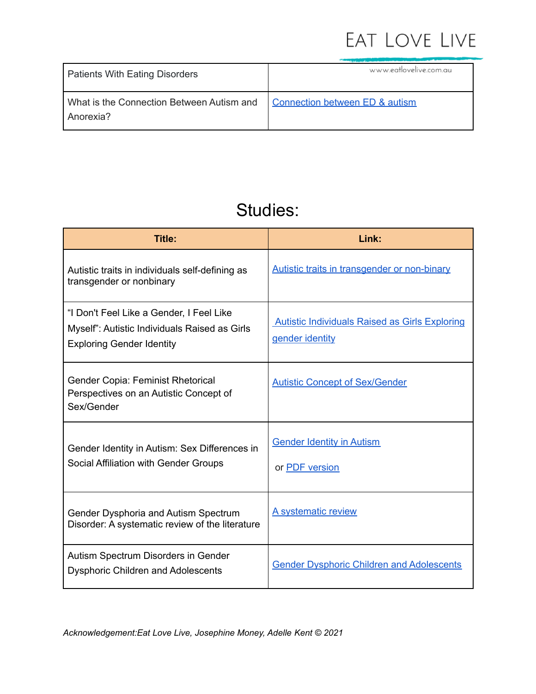| <b>Patients With Eating Disorders</b>                  | www.eatlovelive.com.au         |
|--------------------------------------------------------|--------------------------------|
| What is the Connection Between Autism and<br>Anorexia? | Connection between ED & autism |

### Studies:

<span id="page-4-0"></span>

| Title:                                                                                                                        | Link:                                                                    |
|-------------------------------------------------------------------------------------------------------------------------------|--------------------------------------------------------------------------|
| Autistic traits in individuals self-defining as<br>transgender or nonbinary                                                   | <b>Autistic traits in transgender or non-binary</b>                      |
| "I Don't Feel Like a Gender, I Feel Like<br>Myself": Autistic Individuals Raised as Girls<br><b>Exploring Gender Identity</b> | <b>Autistic Individuals Raised as Girls Exploring</b><br>gender identity |
| Gender Copia: Feminist Rhetorical<br>Perspectives on an Autistic Concept of<br>Sex/Gender                                     | <b>Autistic Concept of Sex/Gender</b>                                    |
| Gender Identity in Autism: Sex Differences in<br>Social Affiliation with Gender Groups                                        | <b>Gender Identity in Autism</b><br>or PDF version                       |
| Gender Dysphoria and Autism Spectrum<br>Disorder: A systematic review of the literature                                       | A systematic review                                                      |
| Autism Spectrum Disorders in Gender<br><b>Dysphoric Children and Adolescents</b>                                              | <b>Gender Dysphoric Children and Adolescents</b>                         |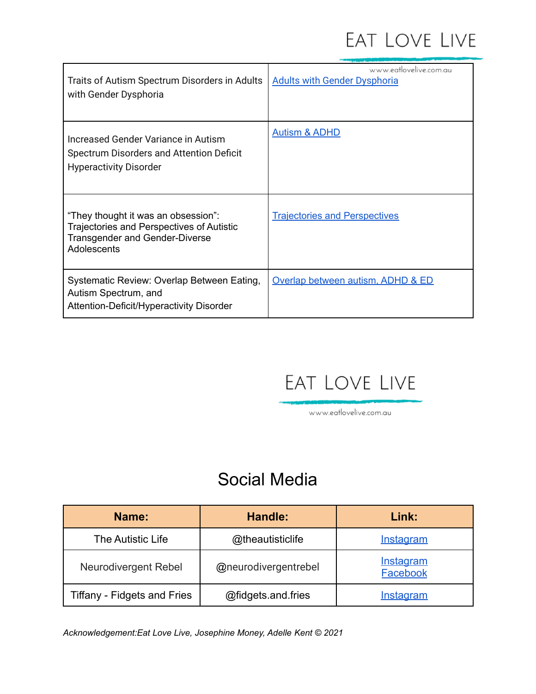| Traits of Autism Spectrum Disorders in Adults<br>with Gender Dysphoria                                                            | www.eatlovelive.com.au<br><b>Adults with Gender Dysphoria</b> |
|-----------------------------------------------------------------------------------------------------------------------------------|---------------------------------------------------------------|
| Increased Gender Variance in Autism<br>Spectrum Disorders and Attention Deficit<br><b>Hyperactivity Disorder</b>                  | <b>Autism &amp; ADHD</b>                                      |
| "They thought it was an obsession":<br>Trajectories and Perspectives of Autistic<br>Transgender and Gender-Diverse<br>Adolescents | <b>Trajectories and Perspectives</b>                          |
| Systematic Review: Overlap Between Eating,<br>Autism Spectrum, and<br>Attention-Deficit/Hyperactivity Disorder                    | Overlap between autism, ADHD & ED                             |

## EAT LOVE LIVE

www.eatlovelive.com.au

### Social Media

| Name:                              | Handle:              | Link:                               |
|------------------------------------|----------------------|-------------------------------------|
| The Autistic Life                  | @theautisticlife     | <b>Instagram</b>                    |
| <b>Neurodivergent Rebel</b>        | @neurodivergentrebel | <b>Instagram</b><br><b>Facebook</b> |
| <b>Tiffany - Fidgets and Fries</b> | @fidgets.and.fries   | Instagram                           |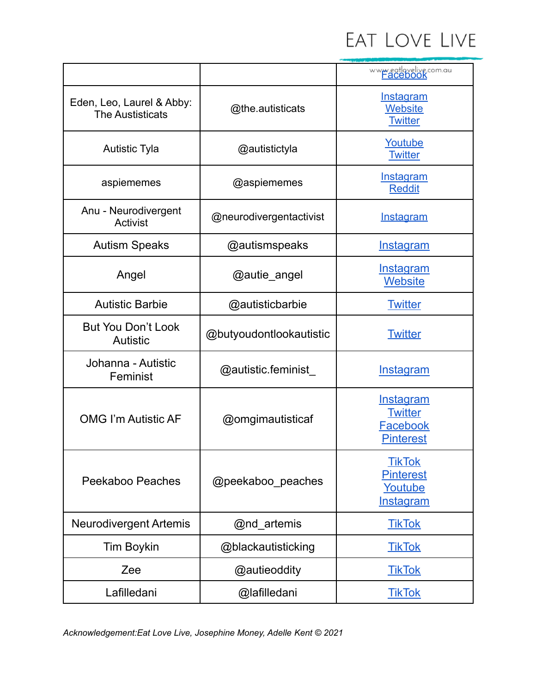|                                                      |                         | www.eatlovelive.com.au                                      |
|------------------------------------------------------|-------------------------|-------------------------------------------------------------|
| Eden, Leo, Laurel & Abby:<br><b>The Austisticats</b> | @the.autisticats        | <b>Instagram</b><br><b>Website</b><br><b>Twitter</b>        |
| <b>Autistic Tyla</b>                                 | @autistictyla           | Youtube<br><b>Twitter</b>                                   |
| aspiememes                                           | @aspiememes             | Instagram<br><b>Reddit</b>                                  |
| Anu - Neurodivergent<br>Activist                     | @neurodivergentactivist | <b>Instagram</b>                                            |
| <b>Autism Speaks</b>                                 | @autismspeaks           | <u>Instagram</u>                                            |
| Angel                                                | @autie_angel            | <u>Instagram</u><br><b>Website</b>                          |
| <b>Autistic Barbie</b>                               | @autisticbarbie         | <b>Twitter</b>                                              |
| But You Don't Look<br><b>Autistic</b>                | @butyoudontlookautistic | <b>Twitter</b>                                              |
| Johanna - Autistic<br>Feminist                       | @autistic.feminist      | <b>Instagram</b>                                            |
| <b>OMG I'm Autistic AF</b>                           | @omgimautisticaf        | Instagram<br><b>Twitter</b><br>Facebook<br><b>Pinterest</b> |
| Peekaboo Peaches                                     | @peekaboo_peaches       | <b>TikTok</b><br><b>Pinterest</b><br>Youtube<br>Instagram   |
| <b>Neurodivergent Artemis</b>                        | @nd_artemis             | <u>TikTok</u>                                               |
| <b>Tim Boykin</b>                                    | @blackautisticking      | <b>TikTok</b>                                               |
| Zee                                                  | @autieoddity            | <b>TikTok</b>                                               |
| Lafilledani                                          | @lafilledani            | <b>TikTok</b>                                               |